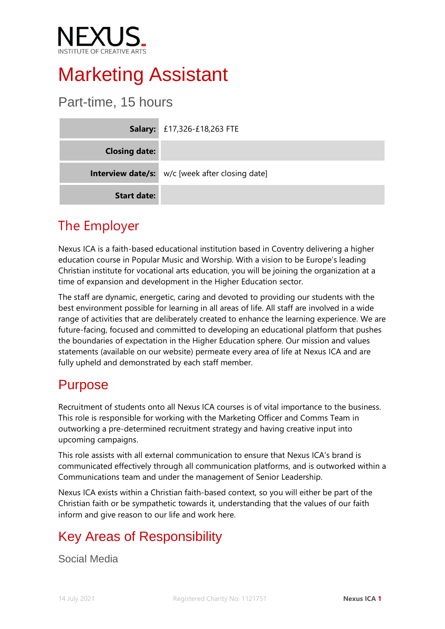

# Marketing Assistant

### Part-time, 15 hours

|                      | <b>Salary:</b> £17,326-£18,263 FTE                     |
|----------------------|--------------------------------------------------------|
| <b>Closing date:</b> |                                                        |
|                      | <b>Interview date/s:</b> w/c [week after closing date] |
| <b>Start date:</b>   |                                                        |

### The Employer

Nexus ICA is a faith-based educational institution based in Coventry delivering a higher education course in Popular Music and Worship. With a vision to be Europe's leading Christian institute for vocational arts education, you will be joining the organization at a time of expansion and development in the Higher Education sector.

The staff are dynamic, energetic, caring and devoted to providing our students with the best environment possible for learning in all areas of life. All staff are involved in a wide range of activities that are deliberately created to enhance the learning experience. We are future-facing, focused and committed to developing an educational platform that pushes the boundaries of expectation in the Higher Education sphere. Our mission and values statements (available on our website) permeate every area of life at Nexus ICA and are fully upheld and demonstrated by each staff member.

#### Purpose

Recruitment of students onto all Nexus ICA courses is of vital importance to the business. This role is responsible for working with the Marketing Officer and Comms Team in outworking a pre-determined recruitment strategy and having creative input into upcoming campaigns.

This role assists with all external communication to ensure that Nexus ICA's brand is communicated effectively through all communication platforms, and is outworked within a Communications team and under the management of Senior Leadership.

Nexus ICA exists within a Christian faith-based context, so you will either be part of the Christian faith or be sympathetic towards it, understanding that the values of our faith inform and give reason to our life and work here.

### Key Areas of Responsibility

Social Media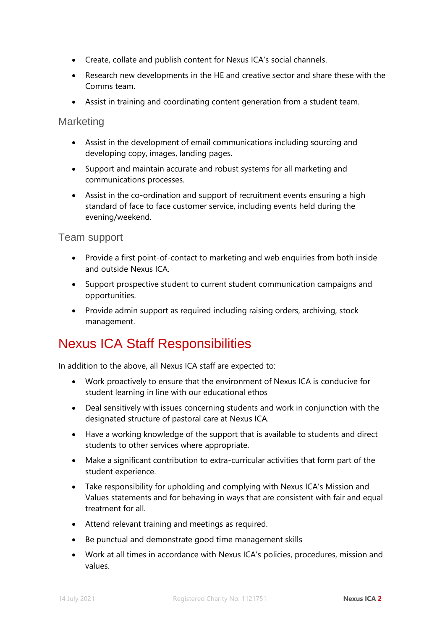- Create, collate and publish content for Nexus ICA's social channels.
- Research new developments in the HE and creative sector and share these with the Comms team.
- Assist in training and coordinating content generation from a student team.

#### **Marketing**

- Assist in the development of email communications including sourcing and developing copy, images, landing pages.
- Support and maintain accurate and robust systems for all marketing and communications processes.
- Assist in the co-ordination and support of recruitment events ensuring a high standard of face to face customer service, including events held during the evening/weekend.

#### Team support

- Provide a first point-of-contact to marketing and web enquiries from both inside and outside Nexus ICA.
- Support prospective student to current student communication campaigns and opportunities.
- Provide admin support as required including raising orders, archiving, stock management.

#### Nexus ICA Staff Responsibilities

In addition to the above, all Nexus ICA staff are expected to:

- Work proactively to ensure that the environment of Nexus ICA is conducive for student learning in line with our educational ethos
- Deal sensitively with issues concerning students and work in conjunction with the designated structure of pastoral care at Nexus ICA.
- Have a working knowledge of the support that is available to students and direct students to other services where appropriate.
- Make a significant contribution to extra-curricular activities that form part of the student experience.
- Take responsibility for upholding and complying with Nexus ICA's Mission and Values statements and for behaving in ways that are consistent with fair and equal treatment for all.
- Attend relevant training and meetings as required.
- Be punctual and demonstrate good time management skills
- Work at all times in accordance with Nexus ICA's policies, procedures, mission and values.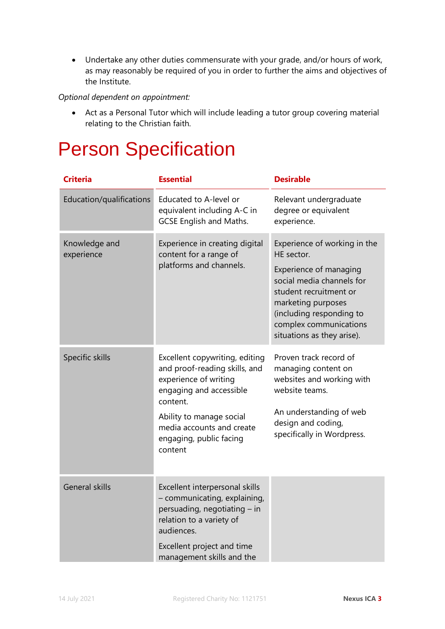• Undertake any other duties commensurate with your grade, and/or hours of work, as may reasonably be required of you in order to further the aims and objectives of the Institute.

*Optional dependent on appointment:*

• Act as a Personal Tutor which will include leading a tutor group covering material relating to the Christian faith.

## Person Specification

| <b>Criteria</b>             | <b>Essential</b>                                                                                                                                                                                                               | <b>Desirable</b>                                                                                                                                                                                                                      |
|-----------------------------|--------------------------------------------------------------------------------------------------------------------------------------------------------------------------------------------------------------------------------|---------------------------------------------------------------------------------------------------------------------------------------------------------------------------------------------------------------------------------------|
| Education/qualifications    | Educated to A-level or<br>equivalent including A-C in<br><b>GCSE English and Maths.</b>                                                                                                                                        | Relevant undergraduate<br>degree or equivalent<br>experience.                                                                                                                                                                         |
| Knowledge and<br>experience | Experience in creating digital<br>content for a range of<br>platforms and channels.                                                                                                                                            | Experience of working in the<br>HE sector.<br>Experience of managing<br>social media channels for<br>student recruitment or<br>marketing purposes<br>(including responding to<br>complex communications<br>situations as they arise). |
| Specific skills             | Excellent copywriting, editing<br>and proof-reading skills, and<br>experience of writing<br>engaging and accessible<br>content.<br>Ability to manage social<br>media accounts and create<br>engaging, public facing<br>content | Proven track record of<br>managing content on<br>websites and working with<br>website teams.<br>An understanding of web<br>design and coding,<br>specifically in Wordpress.                                                           |
| <b>General skills</b>       | Excellent interpersonal skills<br>- communicating, explaining,<br>persuading, negotiating – in<br>relation to a variety of<br>audiences.<br>Excellent project and time<br>management skills and the                            |                                                                                                                                                                                                                                       |